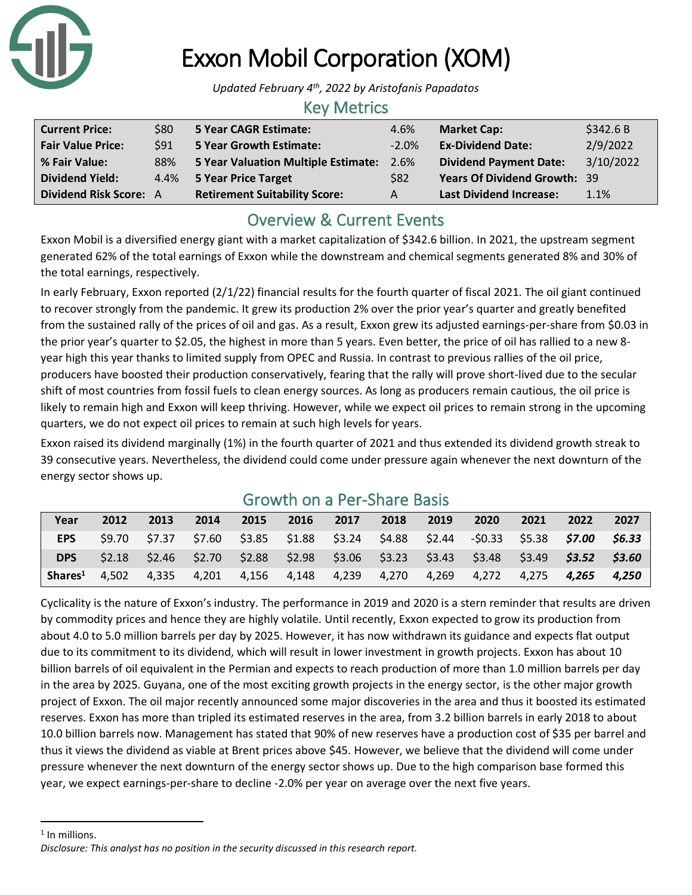

# Exxon Mobil Corporation (XOM)

*Updated February 4th, 2022 by Aristofanis Papadatos*

#### Key Metrics

| <b>Current Price:</b>         | \$80 | 5 Year CAGR Estimate:                | 4.6%       | <b>Market Cap:</b>                  | \$342.6B  |
|-------------------------------|------|--------------------------------------|------------|-------------------------------------|-----------|
| <b>Fair Value Price:</b>      | \$91 | <b>5 Year Growth Estimate:</b>       | $-2.0%$    | <b>Ex-Dividend Date:</b>            | 2/9/2022  |
| % Fair Value:                 | 88%  | 5 Year Valuation Multiple Estimate:  | 2.6%       | <b>Dividend Payment Date:</b>       | 3/10/2022 |
| <b>Dividend Yield:</b>        | 4.4% | 5 Year Price Target                  | <b>S82</b> | <b>Years Of Dividend Growth: 39</b> |           |
| <b>Dividend Risk Score: A</b> |      | <b>Retirement Suitability Score:</b> | A          | <b>Last Dividend Increase:</b>      | 1.1%      |

## Overview & Current Events

Exxon Mobil is a diversified energy giant with a market capitalization of \$342.6 billion. In 2021, the upstream segment generated 62% of the total earnings of Exxon while the downstream and chemical segments generated 8% and 30% of the total earnings, respectively.

In early February, Exxon reported (2/1/22) financial results for the fourth quarter of fiscal 2021. The oil giant continued to recover strongly from the pandemic. It grew its production 2% over the prior year's quarter and greatly benefited from the sustained rally of the prices of oil and gas. As a result, Exxon grew its adjusted earnings-per-share from \$0.03 in the prior year's quarter to \$2.05, the highest in more than 5 years. Even better, the price of oil has rallied to a new 8 year high this year thanks to limited supply from OPEC and Russia. In contrast to previous rallies of the oil price, producers have boosted their production conservatively, fearing that the rally will prove short-lived due to the secular shift of most countries from fossil fuels to clean energy sources. As long as producers remain cautious, the oil price is likely to remain high and Exxon will keep thriving. However, while we expect oil prices to remain strong in the upcoming quarters, we do not expect oil prices to remain at such high levels for years.

Exxon raised its dividend marginally (1%) in the fourth quarter of 2021 and thus extended its dividend growth streak to 39 consecutive years. Nevertheless, the dividend could come under pressure again whenever the next downturn of the energy sector shows up.

| Year                | 2012  | 2013 | 2014 | 2015 | 2016 | 2017 | 2018 | 2019 | 2020                                                                                                 | 2021 | 2022 | 2027 |
|---------------------|-------|------|------|------|------|------|------|------|------------------------------------------------------------------------------------------------------|------|------|------|
| <b>EPS</b>          |       |      |      |      |      |      |      |      | $$9.70$ $$7.37$ $$7.60$ $$3.85$ $$1.88$ $$3.24$ $$4.88$ $$2.44$ $$0.33$ $$5.38$ <b>\$7.00 \$6.33</b> |      |      |      |
| <b>DPS</b>          |       |      |      |      |      |      |      |      | $$2.18$ $$2.46$ $$2.70$ $$2.88$ $$2.98$ $$3.06$ $$3.23$ $$3.43$ $$3.48$ $$3.49$ $$3.52$ $$3.60$      |      |      |      |
| Shares <sup>1</sup> | 4,502 |      |      |      |      |      |      |      | 4,335 4,201 4,156 4,148 4,239 4,270 4,269 4,272 4,275 <b>4,265 4,250</b>                             |      |      |      |

### Growth on a Per-Share Basis

Cyclicality is the nature of Exxon's industry. The performance in 2019 and 2020 is a stern reminder that results are driven by commodity prices and hence they are highly volatile. Until recently, Exxon expected to grow its production from about 4.0 to 5.0 million barrels per day by 2025. However, it has now withdrawn its guidance and expects flat output due to its commitment to its dividend, which will result in lower investment in growth projects. Exxon has about 10 billion barrels of oil equivalent in the Permian and expects to reach production of more than 1.0 million barrels per day in the area by 2025. Guyana, one of the most exciting growth projects in the energy sector, is the other major growth project of Exxon. The oil major recently announced some major discoveries in the area and thus it boosted its estimated reserves. Exxon has more than tripled its estimated reserves in the area, from 3.2 billion barrels in early 2018 to about 10.0 billion barrels now. Management has stated that 90% of new reserves have a production cost of \$35 per barrel and thus it views the dividend as viable at Brent prices above \$45. However, we believe that the dividend will come under pressure whenever the next downturn of the energy sector shows up. Due to the high comparison base formed this year, we expect earnings-per-share to decline -2.0% per year on average over the next five years.

<sup>1</sup> In millions.

*Disclosure: This analyst has no position in the security discussed in this research report.*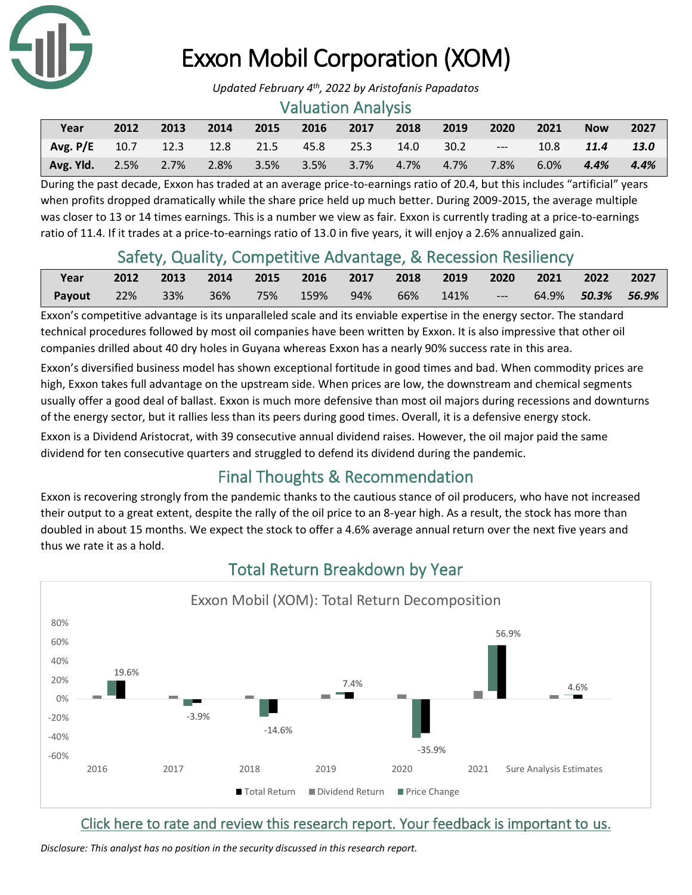

# Exxon Mobil Corporation (XOM)

*Updated February 4th, 2022 by Aristofanis Papadatos*

#### Valuation Analysis

| Year                                                      | 2012 | 2013 | 2014 | 2015 | 2016 | 2017 | 2018 | 2019 | 2020                            | 2021 | <b>Now</b> | 2027   |
|-----------------------------------------------------------|------|------|------|------|------|------|------|------|---------------------------------|------|------------|--------|
| $\text{Avg. P/E}$ 10.7 12.3 12.8 21.5 45.8 25.3 14.0 30.2 |      |      |      |      |      |      |      |      | <b>Contract Contract Street</b> |      | 10.8 11.4  | - 13.0 |
| Avg. Yld. 2.5% 2.7% 2.8% 3.5% 3.5% 3.7% 4.7% 4.7%         |      |      |      |      |      |      |      |      | 7.8%                            | 6.0% | 4.4%       | 4.4%   |

During the past decade, Exxon has traded at an average price-to-earnings ratio of 20.4, but this includes "artificial" years when profits dropped dramatically while the share price held up much better. During 2009-2015, the average multiple was closer to 13 or 14 times earnings. This is a number we view as fair. Exxon is currently trading at a price-to-earnings ratio of 11.4. If it trades at a price-to-earnings ratio of 13.0 in five years, it will enjoy a 2.6% annualized gain.

## Safety, Quality, Competitive Advantage, & Recession Resiliency

| Year   | 2012 |     |     | 2013 2014 2015 2016 2017 2018 2019 |  |       | 2020 2021 2022 2027 |                          |  |
|--------|------|-----|-----|------------------------------------|--|-------|---------------------|--------------------------|--|
| Payout | 22%  | 33% | 36% | 75% 159% 94% 66% 141%              |  | $  -$ |                     | 64.9% <b>50.3% 56.9%</b> |  |

Exxon's competitive advantage is its unparalleled scale and its enviable expertise in the energy sector. The standard technical procedures followed by most oil companies have been written by Exxon. It is also impressive that other oil companies drilled about 40 dry holes in Guyana whereas Exxon has a nearly 90% success rate in this area.

Exxon's diversified business model has shown exceptional fortitude in good times and bad. When commodity prices are high, Exxon takes full advantage on the upstream side. When prices are low, the downstream and chemical segments usually offer a good deal of ballast. Exxon is much more defensive than most oil majors during recessions and downturns of the energy sector, but it rallies less than its peers during good times. Overall, it is a defensive energy stock.

Exxon is a Dividend Aristocrat, with 39 consecutive annual dividend raises. However, the oil major paid the same dividend for ten consecutive quarters and struggled to defend its dividend during the pandemic.

## Final Thoughts & Recommendation

Exxon is recovering strongly from the pandemic thanks to the cautious stance of oil producers, who have not increased their output to a great extent, despite the rally of the oil price to an 8-year high. As a result, the stock has more than doubled in about 15 months. We expect the stock to offer a 4.6% average annual return over the next five years and thus we rate it as a hold.



## Total Return Breakdown by Year

[Click here to rate and review this research report. Your feedback is important to us.](https://suredividend.typeform.com/to/S0SIkB)

*Disclosure: This analyst has no position in the security discussed in this research report.*